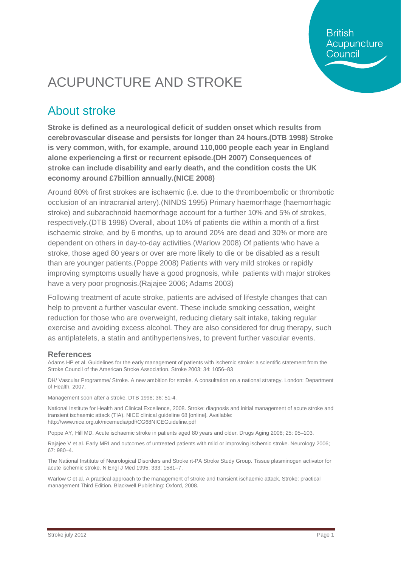**British** Acupuncture Council

# ACUPUNCTURE AND STROKE

#### About stroke

**Stroke is defined as a neurological deficit of sudden onset which results from cerebrovascular disease and persists for longer than 24 hours.(DTB 1998) Stroke is very common, with, for example, around 110,000 people each year in England alone experiencing a first or recurrent episode.(DH 2007) Consequences of stroke can include disability and early death, and the condition costs the UK economy around £7billion annually.(NICE 2008)**

Around 80% of first strokes are ischaemic (i.e. due to the thromboembolic or thrombotic occlusion of an intracranial artery).(NINDS 1995) Primary haemorrhage (haemorrhagic stroke) and subarachnoid haemorrhage account for a further 10% and 5% of strokes, respectively.(DTB 1998) Overall, about 10% of patients die within a month of a first ischaemic stroke, and by 6 months, up to around 20% are dead and 30% or more are dependent on others in day-to-day activities.(Warlow 2008) Of patients who have a stroke, those aged 80 years or over are more likely to die or be disabled as a result than are younger patients.(Poppe 2008) Patients with very mild strokes or rapidly improving symptoms usually have a good prognosis, while patients with major strokes have a very poor prognosis.(Rajajee 2006; Adams 2003)

Following treatment of acute stroke, patients are advised of lifestyle changes that can help to prevent a further vascular event. These include smoking cessation, weight reduction for those who are overweight, reducing dietary salt intake, taking regular exercise and avoiding excess alcohol. They are also considered for drug therapy, such as antiplatelets, a statin and antihypertensives, to prevent further vascular events.

#### **References**

Adams HP et al. Guidelines for the early management of patients with ischemic stroke: a scientific statement from the Stroke Council of the American Stroke Association. Stroke 2003; 34: 1056–83

DH/ Vascular Programme/ Stroke. A new ambition for stroke. A consultation on a national strategy. London: Department of Health, 2007.

Management soon after a stroke. DTB 1998; 36: 51-4.

National Institute for Health and Clinical Excellence, 2008. Stroke: diagnosis and initial management of acute stroke and transient ischaemic attack (TIA). NICE clinical guideline 68 [online]. Available: <http://www.nice.org.uk/nicemedia/pdf/CG68NICEGuideline.pdf>

Poppe AY, Hill MD. Acute ischaemic stroke in patients aged 80 years and older. Drugs Aging 2008; 25: 95–103.

Rajajee V et al. Early MRI and outcomes of untreated patients with mild or improving ischemic stroke. Neurology 2006; 67: 980–4.

The National Institute of Neurological Disorders and Stroke rt-PA Stroke Study Group. Tissue plasminogen activator for acute ischemic stroke. N Engl J Med 1995; 333: 1581–7.

Warlow C et al. A practical approach to the management of stroke and transient ischaemic attack. Stroke: practical management Third Edition. Blackwell Publishing: Oxford, 2008.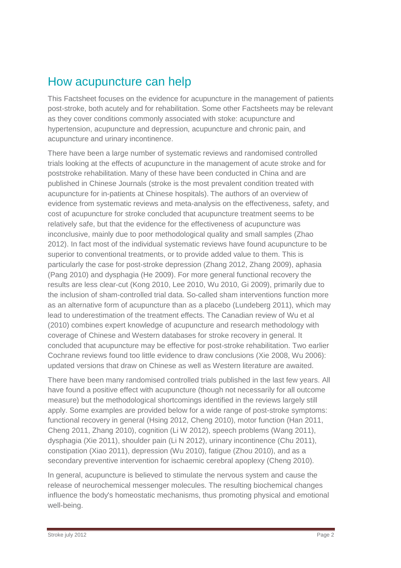#### How acupuncture can help

This Factsheet focuses on the evidence for acupuncture in the management of patients post-stroke, both acutely and for rehabilitation. Some other Factsheets may be relevant as they cover conditions commonly associated with stoke: acupuncture and hypertension, acupuncture and depression, acupuncture and chronic pain, and acupuncture and urinary incontinence.

There have been a large number of systematic reviews and randomised controlled trials looking at the effects of acupuncture in the management of acute stroke and for poststroke rehabilitation. Many of these have been conducted in China and are published in Chinese Journals (stroke is the most prevalent condition treated with acupuncture for in-patients at Chinese hospitals). The authors of an overview of evidence from systematic reviews and meta-analysis on the effectiveness, safety, and cost of acupuncture for stroke concluded that acupuncture treatment seems to be relatively safe, but that the evidence for the effectiveness of acupuncture was inconclusive, mainly due to poor methodological quality and small samples (Zhao 2012). In fact most of the individual systematic reviews have found acupuncture to be superior to conventional treatments, or to provide added value to them. This is particularly the case for post-stroke depression (Zhang 2012, Zhang 2009), aphasia (Pang 2010) and dysphagia (He 2009). For more general functional recovery the results are less clear-cut (Kong 2010, Lee 2010, Wu 2010, Gi 2009), primarily due to the inclusion of sham-controlled trial data. So-called sham interventions function more as an alternative form of acupuncture than as a placebo (Lundeberg 2011), which may lead to underestimation of the treatment effects. The Canadian review of Wu et al (2010) combines expert knowledge of acupuncture and research methodology with coverage of Chinese and Western databases for stroke recovery in general. It concluded that acupuncture may be effective for post-stroke rehabilitation. Two earlier Cochrane reviews found too little evidence to draw conclusions (Xie 2008, Wu 2006): updated versions that draw on Chinese as well as Western literature are awaited.

There have been many randomised controlled trials published in the last few years. All have found a positive effect with acupuncture (though not necessarily for all outcome measure) but the methodological shortcomings identified in the reviews largely still apply. Some examples are provided below for a wide range of post-stroke symptoms: functional recovery in general (Hsing 2012, Cheng 2010), motor function (Han 2011, Cheng 2011, Zhang 2010), cognition (Li W 2012), speech problems (Wang 2011), dysphagia (Xie 2011), shoulder pain (Li N 2012), urinary incontinence (Chu 2011), constipation (Xiao 2011), depression (Wu 2010), fatigue (Zhou 2010), and as a secondary preventive intervention for ischaemic cerebral apoplexy (Cheng 2010).

In general, acupuncture is believed to stimulate the nervous system and cause the release of neurochemical messenger molecules. The resulting biochemical changes influence the body's homeostatic mechanisms, thus promoting physical and emotional well-being.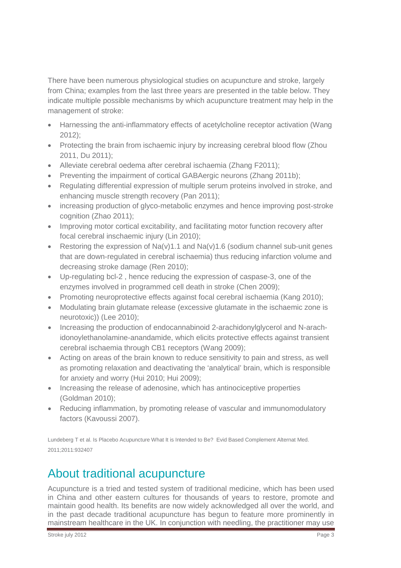There have been numerous physiological studies on acupuncture and stroke, largely from China; examples from the last three years are presented in the table below. They indicate multiple possible mechanisms by which acupuncture treatment may help in the management of stroke:

- Harnessing the anti-inflammatory effects of acetylcholine receptor activation (Wang 2012);
- Protecting the brain from ischaemic injury by increasing cerebral blood flow (Zhou 2011, Du 2011);
- Alleviate cerebral oedema after cerebral ischaemia (Zhang F2011);
- Preventing the impairment of cortical GABAergic neurons (Zhang 2011b);
- Regulating differential expression of multiple serum proteins involved in stroke, and enhancing muscle strength recovery (Pan 2011);
- increasing production of glyco-metabolic enzymes and hence improving post-stroke cognition (Zhao 2011);
- Improving motor cortical excitability, and facilitating motor function recovery after focal cerebral inschaemic injury (Lin 2010);
- Restoring the expression of  $Na(v)1.1$  and  $Na(v)1.6$  (sodium channel sub-unit genes that are down-regulated in cerebral ischaemia) thus reducing infarction volume and decreasing stroke damage (Ren 2010);
- Up-regulating bcl-2 , hence reducing the expression of caspase-3, one of the enzymes involved in programmed cell death in stroke (Chen 2009);
- Promoting neuroprotective effects against focal cerebral ischaemia (Kang 2010);
- Modulating brain glutamate release (excessive glutamate in the ischaemic zone is neurotoxic)) (Lee 2010);
- Increasing the production of endocannabinoid 2-arachidonylglycerol and N-arachidonoylethanolamine-anandamide, which elicits protective effects against transient cerebral ischaemia through CB1 receptors (Wang 2009);
- Acting on areas of the brain known to reduce sensitivity to pain and stress, as well as promoting relaxation and deactivating the 'analytical' brain, which is responsible for anxiety and worry (Hui 2010; Hui 2009);
- Increasing the release of adenosine, which has antinociceptive properties (Goldman 2010);
- Reducing inflammation, by promoting release of vascular and immunomodulatory factors (Kavoussi 2007).

[Lundeberg T](http://www.ncbi.nlm.nih.gov/pubmed?term=%22Lundeberg%20T%22%5BAuthor%5D) et al. Is Placebo Acupuncture What It is Intended to Be? [Evid Based Complement Alternat Med.](javascript:AL_get(this,%20) 2011;2011:932407

### About traditional acupuncture

Acupuncture is a tried and tested system of traditional medicine, which has been used in China and other eastern cultures for thousands of years to restore, promote and maintain good health. Its benefits are now widely acknowledged all over the world, and in the past decade traditional acupuncture has begun to feature more prominently in mainstream healthcare in the UK. In conjunction with needling, the practitioner may use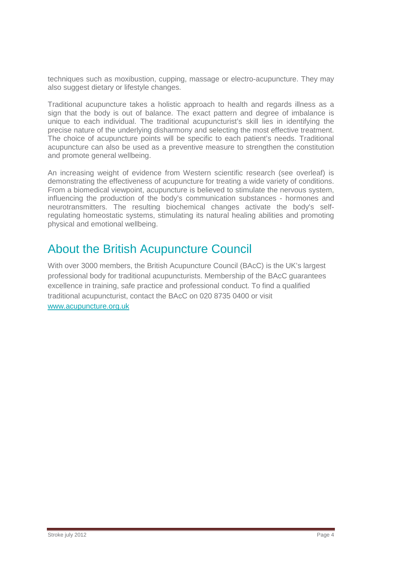techniques such as moxibustion, cupping, massage or electro-acupuncture. They may also suggest dietary or lifestyle changes.

Traditional acupuncture takes a holistic approach to health and regards illness as a sign that the body is out of balance. The exact pattern and degree of imbalance is unique to each individual. The traditional acupuncturist's skill lies in identifying the precise nature of the underlying disharmony and selecting the most effective treatment. The choice of acupuncture points will be specific to each patient's needs. Traditional acupuncture can also be used as a preventive measure to strengthen the constitution and promote general wellbeing.

An increasing weight of evidence from Western scientific research (see overleaf) is demonstrating the effectiveness of acupuncture for treating a wide variety of conditions. From a biomedical viewpoint, acupuncture is believed to stimulate the nervous system, influencing the production of the body's communication substances - hormones and neurotransmitters. The resulting biochemical changes activate the body's selfregulating homeostatic systems, stimulating its natural healing abilities and promoting physical and emotional wellbeing.

### About the British Acupuncture Council

With over 3000 members, the British Acupuncture Council (BAcC) is the UK's largest professional body for traditional acupuncturists. Membership of the BAcC guarantees excellence in training, safe practice and professional conduct. To find a qualified traditional acupuncturist, contact the BAcC on 020 8735 0400 or visit [www.acupuncture.org.uk](http://www.acupuncture.org.uk/)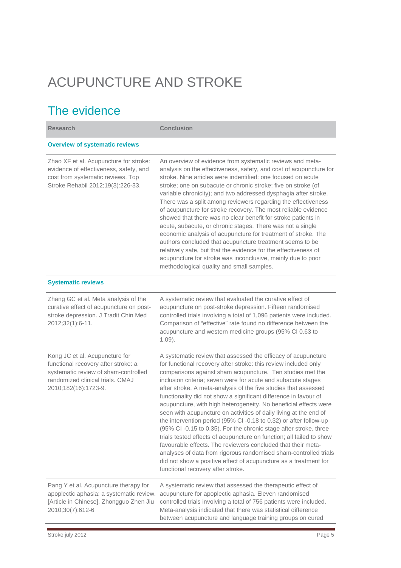# ACUPUNCTURE AND STROKE

## The evidence

| <b>Research</b>                                                                                                                                                           | <b>Conclusion</b>                                                                                                                                                                                                                                                                                                                                                                                                                                                                                                                                                                                                                                                                                                                                                                                                                                                                                                                                                                                          |
|---------------------------------------------------------------------------------------------------------------------------------------------------------------------------|------------------------------------------------------------------------------------------------------------------------------------------------------------------------------------------------------------------------------------------------------------------------------------------------------------------------------------------------------------------------------------------------------------------------------------------------------------------------------------------------------------------------------------------------------------------------------------------------------------------------------------------------------------------------------------------------------------------------------------------------------------------------------------------------------------------------------------------------------------------------------------------------------------------------------------------------------------------------------------------------------------|
| <b>Overview of systematic reviews</b>                                                                                                                                     |                                                                                                                                                                                                                                                                                                                                                                                                                                                                                                                                                                                                                                                                                                                                                                                                                                                                                                                                                                                                            |
| Zhao XF et al. Acupuncture for stroke:<br>evidence of effectiveness, safety, and<br>cost from systematic reviews. Top<br>Stroke Rehabil 2012;19(3):226-33.                | An overview of evidence from systematic reviews and meta-<br>analysis on the effectiveness, safety, and cost of acupuncture for<br>stroke. Nine articles were indentified: one focused on acute<br>stroke; one on subacute or chronic stroke; five on stroke (of<br>variable chronicity); and two addressed dysphagia after stroke.<br>There was a split among reviewers regarding the effectiveness<br>of acupuncture for stroke recovery. The most reliable evidence<br>showed that there was no clear benefit for stroke patients in<br>acute, subacute, or chronic stages. There was not a single<br>economic analysis of acupuncture for treatment of stroke. The<br>authors concluded that acupuncture treatment seems to be<br>relatively safe, but that the evidence for the effectiveness of<br>acupuncture for stroke was inconclusive, mainly due to poor<br>methodological quality and small samples.                                                                                          |
| <b>Systematic reviews</b>                                                                                                                                                 |                                                                                                                                                                                                                                                                                                                                                                                                                                                                                                                                                                                                                                                                                                                                                                                                                                                                                                                                                                                                            |
| Zhang GC et al. Meta analysis of the<br>curative effect of acupuncture on post-<br>stroke depression. J Tradit Chin Med<br>2012;32(1):6-11.                               | A systematic review that evaluated the curative effect of<br>acupuncture on post-stroke depression. Fifteen randomised<br>controlled trials involving a total of 1,096 patients were included.<br>Comparison of "effective" rate found no difference between the<br>acupuncture and western medicine groups (95% CI 0.63 to<br>$1.09$ ).                                                                                                                                                                                                                                                                                                                                                                                                                                                                                                                                                                                                                                                                   |
| Kong JC et al. Acupuncture for<br>functional recovery after stroke: a<br>systematic review of sham-controlled<br>randomized clinical trials. CMAJ<br>2010;182(16):1723-9. | A systematic review that assessed the efficacy of acupuncture<br>for functional recovery after stroke: this review included only<br>comparisons against sham acupuncture. Ten studies met the<br>inclusion criteria; seven were for acute and subacute stages<br>after stroke. A meta-analysis of the five studies that assessed<br>functionality did not show a significant difference in favour of<br>acupuncture, with high heterogeneity. No beneficial effects were<br>seen with acupuncture on activities of daily living at the end of<br>the intervention period (95% CI-0.18 to 0.32) or after follow-up<br>(95% CI-0.15 to 0.35). For the chronic stage after stroke, three<br>trials tested effects of acupuncture on function; all failed to show<br>favourable effects. The reviewers concluded that their meta-<br>analyses of data from rigorous randomised sham-controlled trials<br>did not show a positive effect of acupuncture as a treatment for<br>functional recovery after stroke. |
| Pang Y et al. Acupuncture therapy for<br>apoplectic aphasia: a systematic review.<br>[Article in Chinese]. Zhongguo Zhen Jiu<br>2010;30(7):612-6                          | A systematic review that assessed the therapeutic effect of<br>acupuncture for apoplectic aphasia. Eleven randomised<br>controlled trials involving a total of 756 patients were included.<br>Meta-analysis indicated that there was statistical difference<br>between acupuncture and language training groups on cured                                                                                                                                                                                                                                                                                                                                                                                                                                                                                                                                                                                                                                                                                   |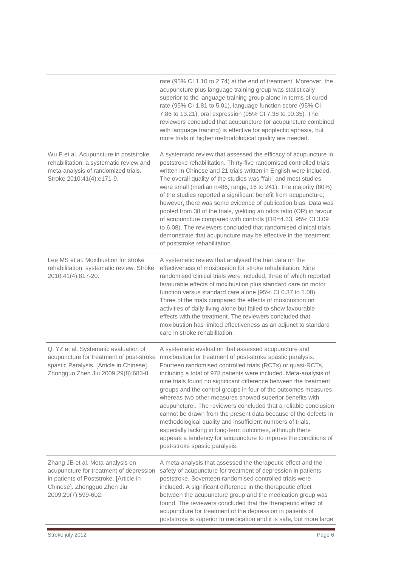|                                                                                                                                                                             | rate (95% CI 1.10 to 2.74) at the end of treatment. Moreover, the<br>acupuncture plus language training group was statistically<br>superior to the language training group alone in terms of cured<br>rate (95% Cl 1.81 to 5.01), language function score (95% Cl<br>7.86 to 13.21), oral expression (95% Cl 7.38 to 10.35). The<br>reviewers concluded that acupuncture (or acupuncture combined<br>with language training) is effective for apoplectic aphasia, but<br>more trials of higher methodological quality are needed.                                                                                                                                                                                                                                                                                               |
|-----------------------------------------------------------------------------------------------------------------------------------------------------------------------------|---------------------------------------------------------------------------------------------------------------------------------------------------------------------------------------------------------------------------------------------------------------------------------------------------------------------------------------------------------------------------------------------------------------------------------------------------------------------------------------------------------------------------------------------------------------------------------------------------------------------------------------------------------------------------------------------------------------------------------------------------------------------------------------------------------------------------------|
| Wu P et al. Acupuncture in poststroke<br>rehabilitation: a systematic review and<br>meta-analysis of randomized trials.<br>Stroke 2010;41(4):e171-9.                        | A systematic review that assessed the efficacy of acupuncture in<br>poststroke rehabilitation. Thirty-five randomised controlled trials<br>written in Chinese and 21 trials written in English were included.<br>The overall quality of the studies was "fair" and most studies<br>were small (median n=86; range, 16 to 241). The majority (80%)<br>of the studies reported a significant benefit from acupuncture;<br>however, there was some evidence of publication bias. Data was<br>pooled from 38 of the trials, yielding an odds ratio (OR) in favour<br>of acupuncture compared with controls (OR=4.33, 95% CI 3.09<br>to 6.08). The reviewers concluded that randomised clinical trials<br>demonstrate that acupuncture may be effective in the treatment<br>of poststroke rehabilitation.                            |
| Lee MS et al. Moxibustion for stroke<br>rehabilitation: systematic review. Stroke<br>2010;41(4):817-20.                                                                     | A systematic review that analysed the trial data on the<br>effectiveness of moxibustion for stroke rehabilitation. Nine<br>randomised clinical trials were included, three of which reported<br>favourable effects of moxibustion plus standard care on motor<br>function versus standard care alone (95% CI 0.37 to 1.08).<br>Three of the trials compared the effects of moxibustion on<br>activities of daily living alone but failed to show favourable<br>effects with the treatment. The reviewers concluded that<br>moxibustion has limited effectiveness as an adjunct to standard<br>care in stroke rehabilitation.                                                                                                                                                                                                    |
| Qi YZ et al. Systematic evaluation of<br>acupuncture for treatment of post-stroke<br>spastic Paralysis. [Article in Chinese].<br>Zhongguo Zhen Jiu 2009;29(8):683-8.        | A systematic evaluation that assessed acupuncture and<br>moxibustion for treatment of post-stroke spastic paralysis.<br>Fourteen randomised controlled trials (RCTs) or quasi-RCTs,<br>including a total of 978 patients were included. Meta-analysis of<br>nine trials found no significant difference between the treatment<br>groups and the control groups in four of the outcomes measures<br>whereas two other measures showed superior benefits with<br>acupuncture The reviewers concluded that a reliable conclusion<br>cannot be drawn from the present data because of the defects in<br>methodological quality and insufficient numbers of trials,<br>especially lacking in long-term outcomes, although there<br>appears a tendency for acupuncture to improve the conditions of<br>post-stroke spastic paralysis. |
| Zhang JB et al. Meta-analysis on<br>acupuncture for treatment of depression<br>in patients of Poststroke. [Article in<br>Chinese]. Zhongguo Zhen Jiu<br>2009;29(7):599-602. | A meta-analysis that assessed the therapeutic effect and the<br>safety of acupuncture for treatment of depression in patients<br>poststroke. Seventeen randomised controlled trials were<br>included. A significant difference in the therapeutic effect<br>between the acupuncture group and the medication group was<br>found. The reviewers concluded that the therapeutic effect of<br>acupuncture for treatment of the depression in patients of<br>poststroke is superior to medication and it is safe, but more large                                                                                                                                                                                                                                                                                                    |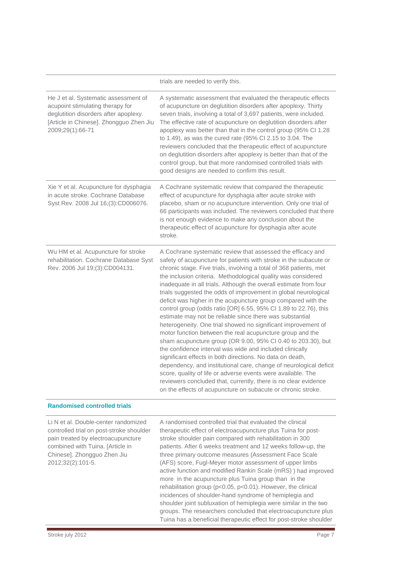|                                                                                                                                                                                  | trials are needed to verify this.                                                                                                                                                                                                                                                                                                                                                                                                                                                                                                                                                                                                                                                                                                                                                                                                                                                                                                                                                                                                                                                                                                                                                                                |
|----------------------------------------------------------------------------------------------------------------------------------------------------------------------------------|------------------------------------------------------------------------------------------------------------------------------------------------------------------------------------------------------------------------------------------------------------------------------------------------------------------------------------------------------------------------------------------------------------------------------------------------------------------------------------------------------------------------------------------------------------------------------------------------------------------------------------------------------------------------------------------------------------------------------------------------------------------------------------------------------------------------------------------------------------------------------------------------------------------------------------------------------------------------------------------------------------------------------------------------------------------------------------------------------------------------------------------------------------------------------------------------------------------|
| He J et al. Systematic assessment of<br>acupoint stimulating therapy for<br>deglutition disorders after apoplexy.<br>[Article in Chinese]. Zhongguo Zhen Jiu<br>2009;29(1):66-71 | A systematic assessment that evaluated the therapeutic effects<br>of acupuncture on deglutition disorders after apoplexy. Thirty<br>seven trials, involving a total of 3,697 patients, were included.<br>The effective rate of acupuncture on deglutition disorders after<br>apoplexy was better than that in the control group (95% CI 1.28<br>to 1.49), as was the cured rate (95% CI 2.15 to 3.04. The<br>reviewers concluded that the therapeutic effect of acupuncture<br>on deglutition disorders after apoplexy is better than that of the<br>control group, but that more randomised controlled trials with<br>good designs are needed to confirm this result.                                                                                                                                                                                                                                                                                                                                                                                                                                                                                                                                           |
| Xie Y et al. Acupuncture for dysphagia<br>in acute stroke. Cochrane Database<br>Syst Rev. 2008 Jul 16;(3):CD006076.                                                              | A Cochrane systematic review that compared the therapeutic<br>effect of acupuncture for dysphagia after acute stroke with<br>placebo, sham or no acupuncture intervention. Only one trial of<br>66 participants was included. The reviewers concluded that there<br>is not enough evidence to make any conclusion about the<br>therapeutic effect of acupuncture for dysphagia after acute<br>stroke.                                                                                                                                                                                                                                                                                                                                                                                                                                                                                                                                                                                                                                                                                                                                                                                                            |
| Wu HM et al. Acupuncture for stroke<br>rehabilitation. Cochrane Database Syst<br>Rev. 2006 Jul 19;(3):CD004131.                                                                  | A Cochrane systematic review that assessed the efficacy and<br>safety of acupuncture for patients with stroke in the subacute or<br>chronic stage. Five trials, involving a total of 368 patients, met<br>the inclusion criteria. Methodological quality was considered<br>inadequate in all trials. Although the overall estimate from four<br>trials suggested the odds of improvement in global neurological<br>deficit was higher in the acupuncture group compared with the<br>control group (odds ratio [OR] 6.55, 95% CI 1.89 to 22.76), this<br>estimate may not be reliable since there was substantial<br>heterogeneity. One trial showed no significant improvement of<br>motor function between the real acupuncture group and the<br>sham acupuncture group (OR 9.00, 95% CI 0.40 to 203.30), but<br>the confidence interval was wide and included clinically<br>significant effects in both directions. No data on death,<br>dependency, and institutional care, change of neurological deficit<br>score, quality of life or adverse events were available. The<br>reviewers concluded that, currently, there is no clear evidence<br>on the effects of acupuncture on subacute or chronic stroke. |

#### **Randomised controlled trials**

| Li N et al. Double-center randomized<br>controlled trial on post-stroke shoulder<br>pain treated by electroacupuncture<br>combined with Tuina. [Article in<br>Chinese]. Zhongguo Zhen Jiu<br>2012;32(2):101-5. | A randomised controlled trial that evaluated the clinical<br>therapeutic effect of electroacupuncture plus Tuina for post-<br>stroke shoulder pain compared with rehabilitation in 300<br>patients. After 6 weeks treatment and 12 weeks follow-up, the<br>three primary outcome measures (Assessment Face Scale<br>(AFS) score, Fugl-Meyer motor assessment of upper limbs<br>active function and modified Rankin Scale (mRS)) had improved<br>more in the acupuncture plus Tuina group than in the<br>rehabilitation group ( $p<0.05$ , $p<0.01$ ). However, the clinical<br>incidences of shoulder-hand syndrome of hemiplegia and<br>shoulder joint subluxation of hemiplegia were similar in the two |
|----------------------------------------------------------------------------------------------------------------------------------------------------------------------------------------------------------------|-----------------------------------------------------------------------------------------------------------------------------------------------------------------------------------------------------------------------------------------------------------------------------------------------------------------------------------------------------------------------------------------------------------------------------------------------------------------------------------------------------------------------------------------------------------------------------------------------------------------------------------------------------------------------------------------------------------|
|                                                                                                                                                                                                                | groups. The researchers concluded that electroacupuncture plus<br>Tuina has a beneficial therapeutic effect for post-stroke shoulder                                                                                                                                                                                                                                                                                                                                                                                                                                                                                                                                                                      |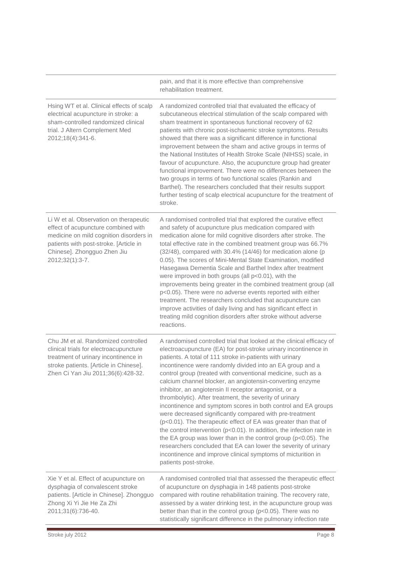|                                                                                                                                                                                                                      | pain, and that it is more effective than comprehensive<br>rehabilitation treatment.                                                                                                                                                                                                                                                                                                                                                                                                                                                                                                                                                                                                                                                                                                                                                                                                                                                                                                                                                  |
|----------------------------------------------------------------------------------------------------------------------------------------------------------------------------------------------------------------------|--------------------------------------------------------------------------------------------------------------------------------------------------------------------------------------------------------------------------------------------------------------------------------------------------------------------------------------------------------------------------------------------------------------------------------------------------------------------------------------------------------------------------------------------------------------------------------------------------------------------------------------------------------------------------------------------------------------------------------------------------------------------------------------------------------------------------------------------------------------------------------------------------------------------------------------------------------------------------------------------------------------------------------------|
| Hsing WT et al. Clinical effects of scalp<br>electrical acupuncture in stroke: a<br>sham-controlled randomized clinical<br>trial. J Altern Complement Med<br>2012;18(4):341-6.                                       | A randomized controlled trial that evaluated the efficacy of<br>subcutaneous electrical stimulation of the scalp compared with<br>sham treatment in spontaneous functional recovery of 62<br>patients with chronic post-ischaemic stroke symptoms. Results<br>showed that there was a significant difference in functional<br>improvement between the sham and active groups in terms of<br>the National Institutes of Health Stroke Scale (NIHSS) scale, in<br>favour of acupuncture. Also, the acupuncture group had greater<br>functional improvement. There were no differences between the<br>two groups in terms of two functional scales (Rankin and<br>Barthel). The researchers concluded that their results support<br>further testing of scalp electrical acupuncture for the treatment of<br>stroke.                                                                                                                                                                                                                     |
| Li W et al. Observation on therapeutic<br>effect of acupuncture combined with<br>medicine on mild cognition disorders in<br>patients with post-stroke. [Article in<br>Chinese]. Zhongguo Zhen Jiu<br>2012;32(1):3-7. | A randomised controlled trial that explored the curative effect<br>and safety of acupuncture plus medication compared with<br>medication alone for mild cognitive disorders after stroke. The<br>total effective rate in the combined treatment group was 66.7%<br>(32/48), compared with 30.4% (14/46) for medication alone (p<br>0.05). The scores of Mini-Mental State Examination, modified<br>Hasegawa Dementia Scale and Barthel Index after treatment<br>were improved in both groups (all p<0.01), with the<br>improvements being greater in the combined treatment group (all<br>p<0.05). There were no adverse events reported with either<br>treatment. The researchers concluded that acupuncture can<br>improve activities of daily living and has significant effect in<br>treating mild cognition disorders after stroke without adverse<br>reactions.                                                                                                                                                                |
| Chu JM et al. Randomized controlled<br>clinical trials for electroacupuncture<br>treatment of urinary incontinence in<br>stroke patients. [Article in Chinese].<br>Zhen Ci Yan Jiu 2011;36(6):428-32.                | A randomised controlled trial that looked at the clinical efficacy of<br>electroacupuncture (EA) for post-stroke urinary incontinence in<br>patients. A total of 111 stroke in-patients with urinary<br>incontinence were randomly divided into an EA group and a<br>control group (treated with conventional medicine, such as a<br>calcium channel blocker, an angiotensin-converting enzyme<br>inhibitor, an angiotensin II receptor antagonist, or a<br>thrombolytic). After treatment, the severity of urinary<br>incontinence and symptom scores in both control and EA groups<br>were decreased significantly compared with pre-treatment<br>(p<0.01). The therapeutic effect of EA was greater than that of<br>the control intervention ( $p<0.01$ ). In addition, the infection rate in<br>the EA group was lower than in the control group ( $p < 0.05$ ). The<br>researchers concluded that EA can lower the severity of urinary<br>incontinence and improve clinical symptoms of micturition in<br>patients post-stroke. |
| Xie Y et al. Effect of acupuncture on<br>dysphagia of convalescent stroke<br>patients. [Article in Chinese]. Zhongguo<br>Zhong Xi Yi Jie He Za Zhi<br>2011;31(6):736-40.                                             | A randomised controlled trial that assessed the therapeutic effect<br>of acupuncture on dysphagia in 148 patients post-stroke<br>compared with routine rehabilitation training. The recovery rate,<br>assessed by a water drinking test, in the acupuncture group was<br>better than that in the control group (p<0.05). There was no<br>statistically significant difference in the pulmonary infection rate                                                                                                                                                                                                                                                                                                                                                                                                                                                                                                                                                                                                                        |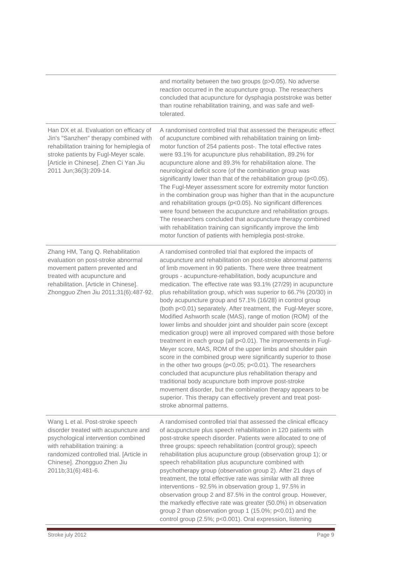|                                                                                                                                                                                                                                                      | and mortality between the two groups (p>0.05). No adverse<br>reaction occurred in the acupuncture group. The researchers<br>concluded that acupuncture for dysphagia poststroke was better<br>than routine rehabilitation training, and was safe and well-<br>tolerated.                                                                                                                                                                                                                                                                                                                                                                                                                                                                                                                                                                                                                                                                                                                                                                                                                                                                                                                                                                                                                             |
|------------------------------------------------------------------------------------------------------------------------------------------------------------------------------------------------------------------------------------------------------|------------------------------------------------------------------------------------------------------------------------------------------------------------------------------------------------------------------------------------------------------------------------------------------------------------------------------------------------------------------------------------------------------------------------------------------------------------------------------------------------------------------------------------------------------------------------------------------------------------------------------------------------------------------------------------------------------------------------------------------------------------------------------------------------------------------------------------------------------------------------------------------------------------------------------------------------------------------------------------------------------------------------------------------------------------------------------------------------------------------------------------------------------------------------------------------------------------------------------------------------------------------------------------------------------|
| Han DX et al. Evaluation on efficacy of<br>Jin's "Sanzhen" therapy combined with<br>rehabilitation training for hemiplegia of<br>stroke patients by Fugl-Meyer scale.<br>[Article in Chinese]. Zhen Ci Yan Jiu<br>2011 Jun;36(3):209-14.             | A randomised controlled trial that assessed the therapeutic effect<br>of acupuncture combined with rehabilitation training on limb-<br>motor function of 254 patients post-. The total effective rates<br>were 93.1% for acupuncture plus rehabilitation, 89.2% for<br>acupuncture alone and 89.3% for rehabilitation alone. The<br>neurological deficit score (of the combination group was<br>significantly lower than that of the rehabilitation group (p<0.05).<br>The Fugl-Meyer assessment score for extremity motor function<br>in the combination group was higher than that in the acupuncture<br>and rehabilitation groups (p<0.05). No significant differences<br>were found between the acupuncture and rehabilitation groups.<br>The researchers concluded that acupuncture therapy combined<br>with rehabilitation training can significantly improve the limb<br>motor function of patients with hemiplegia post-stroke.                                                                                                                                                                                                                                                                                                                                                              |
| Zhang HM, Tang Q. Rehabilitation<br>evaluation on post-stroke abnormal<br>movement pattern prevented and<br>treated with acupuncture and<br>rehabilitation. [Article in Chinese].<br>Zhongguo Zhen Jiu 2011;31(6):487-92.                            | A randomised controlled trial that explored the impacts of<br>acupuncture and rehabilitation on post-stroke abnormal patterns<br>of limb movement in 90 patients. There were three treatment<br>groups - acupuncture-rehabilitation, body acupuncture and<br>medication. The effective rate was 93.1% (27/29) in acupuncture<br>plus rehabilitation group, which was superior to 66.7% (20/30) in<br>body acupuncture group and 57.1% (16/28) in control group<br>(both p<0.01) separately. After treatment, the Fugl-Meyer score,<br>Modified Ashworth scale (MAS), range of motion (ROM) of the<br>lower limbs and shoulder joint and shoulder pain score (except<br>medication group) were all improved compared with those before<br>treatment in each group (all p<0.01). The improvements in Fugl-<br>Meyer score, MAS, ROM of the upper limbs and shoulder pain<br>score in the combined group were significantly superior to those<br>in the other two groups ( $p<0.05$ ; $p<0.01$ ). The researchers<br>concluded that acupuncture plus rehabilitation therapy and<br>traditional body acupuncture both improve post-stroke<br>movement disorder, but the combination therapy appears to be<br>superior. This therapy can effectively prevent and treat post-<br>stroke abnormal patterns. |
| Wang L et al. Post-stroke speech<br>disorder treated with acupuncture and<br>psychological intervention combined<br>with rehabilitation training: a<br>randomized controlled trial. [Article in<br>Chinese]. Zhongguo Zhen Jiu<br>2011b;31(6):481-6. | A randomised controlled trial that assessed the clinical efficacy<br>of acupuncture plus speech rehabilitation in 120 patients with<br>post-stroke speech disorder. Patients were allocated to one of<br>three groups: speech rehabilitation (control group); speech<br>rehabilitation plus acupuncture group (observation group 1); or<br>speech rehabilitation plus acupuncture combined with<br>psychotherapy group (observation group 2). After 21 days of<br>treatment, the total effective rate was similar with all three<br>interventions - 92.5% in observation group 1, 97.5% in<br>observation group 2 and 87.5% in the control group. However,<br>the markedly effective rate was greater (50.0%) in observation<br>group 2 than observation group 1 (15.0%; p<0.01) and the<br>control group (2.5%; p<0.001). Oral expression, listening                                                                                                                                                                                                                                                                                                                                                                                                                                                |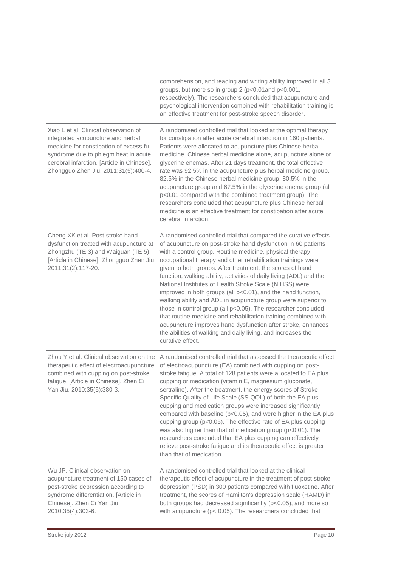|                                                                                                                                                                                                                                                    | comprehension, and reading and writing ability improved in all 3<br>groups, but more so in group 2 (p<0.01 and p<0.001,<br>respectively). The researchers concluded that acupuncture and<br>psychological intervention combined with rehabilitation training is<br>an effective treatment for post-stroke speech disorder.                                                                                                                                                                                                                                                                                                                                                                                                                                                                                                                                                             |
|----------------------------------------------------------------------------------------------------------------------------------------------------------------------------------------------------------------------------------------------------|----------------------------------------------------------------------------------------------------------------------------------------------------------------------------------------------------------------------------------------------------------------------------------------------------------------------------------------------------------------------------------------------------------------------------------------------------------------------------------------------------------------------------------------------------------------------------------------------------------------------------------------------------------------------------------------------------------------------------------------------------------------------------------------------------------------------------------------------------------------------------------------|
| Xiao L et al. Clinical observation of<br>integrated acupuncture and herbal<br>medicine for constipation of excess fu<br>syndrome due to phlegm heat in acute<br>cerebral infarction. [Article in Chinese].<br>Zhongguo Zhen Jiu. 2011;31(5):400-4. | A randomised controlled trial that looked at the optimal therapy<br>for constipation after acute cerebral infarction in 160 patients.<br>Patients were allocated to acupuncture plus Chinese herbal<br>medicine, Chinese herbal medicine alone, acupuncture alone or<br>glycerine enemas. After 21 days treatment, the total effective<br>rate was 92.5% in the acupuncture plus herbal medicine group,<br>82.5% in the Chinese herbal medicine group. 80.5% in the<br>acupuncture group and 67.5% in the glycerine enema group (all<br>p<0.01 compared with the combined treatment group). The<br>researchers concluded that acupuncture plus Chinese herbal<br>medicine is an effective treatment for constipation after acute<br>cerebral infarction.                                                                                                                               |
| Cheng XK et al. Post-stroke hand<br>dysfunction treated with acupuncture at<br>Zhongzhu (TE 3) and Waiguan (TE 5).<br>[Article in Chinese]. Zhongguo Zhen Jiu<br>2011;31(2):117-20.                                                                | A randomised controlled trial that compared the curative effects<br>of acupuncture on post-stroke hand dysfunction in 60 patients<br>with a control group. Routine medicine, physical therapy,<br>occupational therapy and other rehabilitation trainings were<br>given to both groups. After treatment, the scores of hand<br>function, walking ability, activities of daily living (ADL) and the<br>National Institutes of Health Stroke Scale (NIHSS) were<br>improved in both groups (all p<0.01), and the hand function,<br>walking ability and ADL in acupuncture group were superior to<br>those in control group (all p<0.05). The researcher concluded<br>that routine medicine and rehabilitation training combined with<br>acupuncture improves hand dysfunction after stroke, enhances<br>the abilities of walking and daily living, and increases the<br>curative effect. |
| Zhou Y et al. Clinical observation on the<br>therapeutic effect of electroacupuncture<br>combined with cupping on post-stroke<br>fatigue. [Article in Chinese]. Zhen Ci<br>Yan Jiu. 2010;35(5):380-3.                                              | A randomised controlled trial that assessed the therapeutic effect<br>of electroacupuncture (EA) combined with cupping on post-<br>stroke fatigue. A total of 128 patients were allocated to EA plus<br>cupping or medication (vitamin E, magnesium gluconate,<br>sertraline). After the treatment, the energy scores of Stroke<br>Specific Quality of Life Scale (SS-QOL) of both the EA plus<br>cupping and medication groups were increased significantly<br>compared with baseline (p<0.05), and were higher in the EA plus<br>cupping group (p<0.05). The effective rate of EA plus cupping<br>was also higher than that of medication group (p<0.01). The<br>researchers concluded that EA plus cupping can effectively<br>relieve post-stroke fatigue and its therapeutic effect is greater<br>than that of medication.                                                         |
| Wu JP. Clinical observation on<br>acupuncture treatment of 150 cases of<br>post-stroke depression according to<br>syndrome differentiation. [Article in<br>Chinese]. Zhen Ci Yan Jiu.<br>2010;35(4):303-6.                                         | A randomised controlled trial that looked at the clinical<br>therapeutic effect of acupuncture in the treatment of post-stroke<br>depression (PSD) in 300 patients compared with fluoxetine. After<br>treatment, the scores of Hamilton's depression scale (HAMD) in<br>both groups had decreased significantly (p<0.05), and more so<br>with acupuncture ( $p < 0.05$ ). The researchers concluded that                                                                                                                                                                                                                                                                                                                                                                                                                                                                               |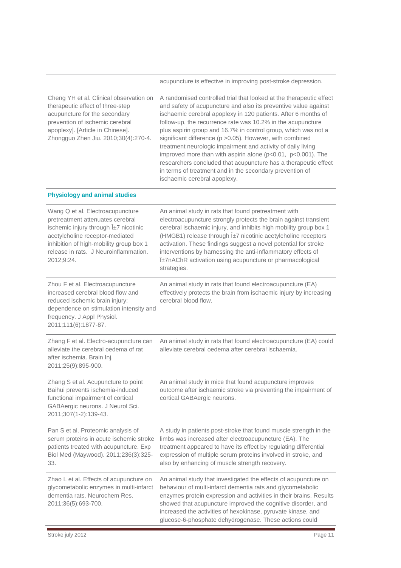acupuncture is effective in improving post-stroke depression.

| Cheng YH et al. Clinical observation on<br>therapeutic effect of three-step<br>acupuncture for the secondary<br>prevention of ischemic cerebral<br>apoplexy]. [Article in Chinese].<br>Zhongguo Zhen Jiu. 2010;30(4):270-4.                            | A randomised controlled trial that looked at the therapeutic effect<br>and safety of acupuncture and also its preventive value against<br>ischaemic cerebral apoplexy in 120 patients. After 6 months of<br>follow-up, the recurrence rate was 10.2% in the acupuncture<br>plus aspirin group and 16.7% in control group, which was not a<br>significant difference (p > 0.05). However, with combined<br>treatment neurologic impairment and activity of daily living<br>improved more than with aspirin alone (p<0.01, p<0.001). The<br>researchers concluded that acupuncture has a therapeutic effect<br>in terms of treatment and in the secondary prevention of<br>ischaemic cerebral apoplexy. |
|--------------------------------------------------------------------------------------------------------------------------------------------------------------------------------------------------------------------------------------------------------|-------------------------------------------------------------------------------------------------------------------------------------------------------------------------------------------------------------------------------------------------------------------------------------------------------------------------------------------------------------------------------------------------------------------------------------------------------------------------------------------------------------------------------------------------------------------------------------------------------------------------------------------------------------------------------------------------------|
| <b>Physiology and animal studies</b>                                                                                                                                                                                                                   |                                                                                                                                                                                                                                                                                                                                                                                                                                                                                                                                                                                                                                                                                                       |
| Wang Q et al. Electroacupuncture<br>pretreatment attenuates cerebral<br>ischemic injury through $1\pm7$ nicotinic<br>acetylcholine receptor-mediated<br>inhibition of high-mobility group box 1<br>release in rats. J Neuroinflammation.<br>2012;9:24. | An animal study in rats that found pretreatment with<br>electroacupuncture strongly protects the brain against transient<br>cerebral ischaemic injury, and inhibits high mobility group box 1<br>(HMGB1) release through α7 nicotinic acetylcholine receptors<br>activation. These findings suggest a novel potential for stroke<br>interventions by harnessing the anti-inflammatory effects of<br>α7nAChR activation using acupuncture or pharmacological<br>strategies.                                                                                                                                                                                                                            |
| Zhou F et al. Electroacupuncture<br>increased cerebral blood flow and<br>reduced ischemic brain injury:<br>dependence on stimulation intensity and<br>frequency. J Appl Physiol.<br>2011;111(6):1877-87.                                               | An animal study in rats that found electroacupuncture (EA)<br>effectively protects the brain from ischaemic injury by increasing<br>cerebral blood flow.                                                                                                                                                                                                                                                                                                                                                                                                                                                                                                                                              |
| Zhang F et al. Electro-acupuncture can<br>alleviate the cerebral oedema of rat<br>after ischemia. Brain Inj.<br>2011;25(9):895-900.                                                                                                                    | An animal study in rats that found electroacupuncture (EA) could<br>alleviate cerebral oedema after cerebral ischaemia.                                                                                                                                                                                                                                                                                                                                                                                                                                                                                                                                                                               |
| Zhang S et al. Acupuncture to point<br>Baihui prevents ischemia-induced<br>functional impairment of cortical<br>GABAergic neurons. J Neurol Sci.<br>2011;307(1-2):139-43.                                                                              | An animal study in mice that found acupuncture improves<br>outcome after ischaemic stroke via preventing the impairment of<br>cortical GABAergic neurons.                                                                                                                                                                                                                                                                                                                                                                                                                                                                                                                                             |
| Pan S et al. Proteomic analysis of<br>serum proteins in acute ischemic stroke<br>patients treated with acupuncture. Exp<br>Biol Med (Maywood). 2011;236(3):325-<br>33.                                                                                 | A study in patients post-stroke that found muscle strength in the<br>limbs was increased after electroacupuncture (EA). The<br>treatment appeared to have its effect by regulating differential<br>expression of multiple serum proteins involved in stroke, and<br>also by enhancing of muscle strength recovery.                                                                                                                                                                                                                                                                                                                                                                                    |
| Zhao L et al. Effects of acupuncture on<br>glycometabolic enzymes in multi-infarct<br>dementia rats. Neurochem Res.<br>2011;36(5):693-700.                                                                                                             | An animal study that investigated the effects of acupuncture on<br>behaviour of multi-infarct dementia rats and glycometabolic<br>enzymes protein expression and activities in their brains. Results<br>showed that acupuncture improved the cognitive disorder, and<br>increased the activities of hexokinase, pyruvate kinase, and<br>glucose-6-phosphate dehydrogenase. These actions could                                                                                                                                                                                                                                                                                                        |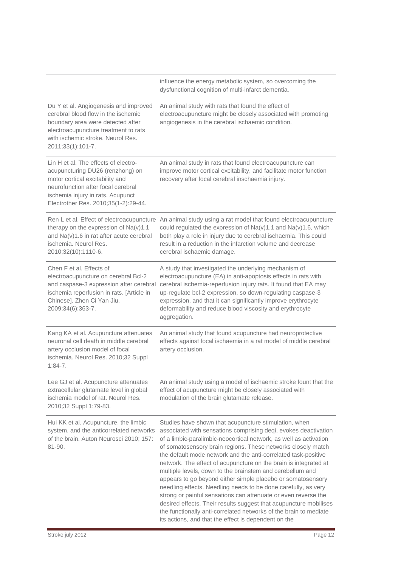|                                                                                                                                                                                                                                | influence the energy metabolic system, so overcoming the<br>dysfunctional cognition of multi-infarct dementia.                                                                                                                                                                                                                                                                                                                                                                                                                                                                                                                                                                                                                                                                                                                                                        |
|--------------------------------------------------------------------------------------------------------------------------------------------------------------------------------------------------------------------------------|-----------------------------------------------------------------------------------------------------------------------------------------------------------------------------------------------------------------------------------------------------------------------------------------------------------------------------------------------------------------------------------------------------------------------------------------------------------------------------------------------------------------------------------------------------------------------------------------------------------------------------------------------------------------------------------------------------------------------------------------------------------------------------------------------------------------------------------------------------------------------|
| Du Y et al. Angiogenesis and improved<br>cerebral blood flow in the ischemic<br>boundary area were detected after<br>electroacupuncture treatment to rats<br>with ischemic stroke. Neurol Res.<br>2011;33(1):101-7.            | An animal study with rats that found the effect of<br>electroacupuncture might be closely associated with promoting<br>angiogenesis in the cerebral ischaemic condition.                                                                                                                                                                                                                                                                                                                                                                                                                                                                                                                                                                                                                                                                                              |
| Lin H et al. The effects of electro-<br>acupuncturing DU26 (renzhong) on<br>motor cortical excitability and<br>neurofunction after focal cerebral<br>ischemia injury in rats. Acupunct<br>Electrother Res. 2010;35(1-2):29-44. | An animal study in rats that found electroacupuncture can<br>improve motor cortical excitability, and facilitate motor function<br>recovery after focal cerebral inschaemia injury.                                                                                                                                                                                                                                                                                                                                                                                                                                                                                                                                                                                                                                                                                   |
| therapy on the expression of $Na(v)1.1$<br>and Na(v)1.6 in rat after acute cerebral<br>ischemia. Neurol Res.<br>2010;32(10):1110-6.                                                                                            | Ren L et al. Effect of electroacupuncture An animal study using a rat model that found electroacupuncture<br>could regulated the expression of Na(v)1.1 and Na(v)1.6, which<br>both play a role in injury due to cerebral ischaemia. This could<br>result in a reduction in the infarction volume and decrease<br>cerebral ischaemic damage.                                                                                                                                                                                                                                                                                                                                                                                                                                                                                                                          |
| Chen F et al. Effects of<br>electroacupuncture on cerebral Bcl-2<br>and caspase-3 expression after cerebral<br>ischemia reperfusion in rats. [Article in<br>Chinese]. Zhen Ci Yan Jiu.<br>2009;34(6):363-7.                    | A study that investigated the underlying mechanism of<br>electroacupuncture (EA) in anti-apoptosis effects in rats with<br>cerebral ischemia-reperfusion injury rats. It found that EA may<br>up-regulate bcl-2 expression, so down-regulating caspase-3<br>expression, and that it can significantly improve erythrocyte<br>deformability and reduce blood viscosity and erythrocyte<br>aggregation.                                                                                                                                                                                                                                                                                                                                                                                                                                                                 |
| Kang KA et al. Acupuncture attenuates<br>neuronal cell death in middle cerebral<br>artery occlusion model of focal<br>ischemia. Neurol Res. 2010;32 Suppl<br>$1:84 - 7$ .                                                      | An animal study that found acupuncture had neuroprotective<br>effects against focal ischaemia in a rat model of middle cerebral<br>artery occlusion.                                                                                                                                                                                                                                                                                                                                                                                                                                                                                                                                                                                                                                                                                                                  |
| Lee GJ et al. Acupuncture attenuates<br>extracellular glutamate level in global<br>ischemia model of rat. Neurol Res.<br>2010;32 Suppl 1:79-83.                                                                                | An animal study using a model of ischaemic stroke fount that the<br>effect of acupuncture might be closely associated with<br>modulation of the brain glutamate release.                                                                                                                                                                                                                                                                                                                                                                                                                                                                                                                                                                                                                                                                                              |
| Hui KK et al. Acupuncture, the limbic<br>system, and the anticorrelated networks<br>of the brain. Auton Neurosci 2010; 157:<br>81-90.                                                                                          | Studies have shown that acupuncture stimulation, when<br>associated with sensations comprising deqi, evokes deactivation<br>of a limbic-paralimbic-neocortical network, as well as activation<br>of somatosensory brain regions. These networks closely match<br>the default mode network and the anti-correlated task-positive<br>network. The effect of acupuncture on the brain is integrated at<br>multiple levels, down to the brainstem and cerebellum and<br>appears to go beyond either simple placebo or somatosensory<br>needling effects. Needling needs to be done carefully, as very<br>strong or painful sensations can attenuate or even reverse the<br>desired effects. Their results suggest that acupuncture mobilises<br>the functionally anti-correlated networks of the brain to mediate<br>its actions, and that the effect is dependent on the |